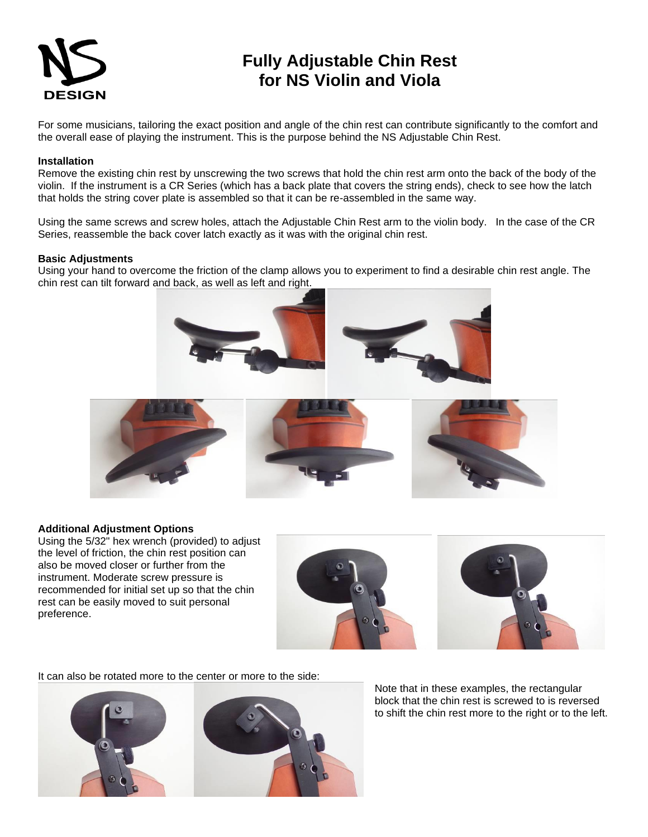

## **Fully Adjustable Chin Rest for NS Violin and Viola**

For some musicians, tailoring the exact position and angle of the chin rest can contribute significantly to the comfort and the overall ease of playing the instrument. This is the purpose behind the NS Adjustable Chin Rest.

## **Installation**

Remove the existing chin rest by unscrewing the two screws that hold the chin rest arm onto the back of the body of the violin. If the instrument is a CR Series (which has a back plate that covers the string ends), check to see how the latch that holds the string cover plate is assembled so that it can be re-assembled in the same way.

Using the same screws and screw holes, attach the Adjustable Chin Rest arm to the violin body. In the case of the CR Series, reassemble the back cover latch exactly as it was with the original chin rest.

## **Basic Adjustments**

Using your hand to overcome the friction of the clamp allows you to experiment to find a desirable chin rest angle. The chin rest can tilt forward and back, as well as left and right.





## **Additional Adjustment Options**

Using the 5/32" hex wrench (provided) to adjust the level of friction, the chin rest position can also be moved closer or further from the instrument. Moderate screw pressure is recommended for initial set up so that the chin rest can be easily moved to suit personal preference.



It can also be rotated more to the center or more to the side:



Note that in these examples, the rectangular block that the chin rest is screwed to is reversed to shift the chin rest more to the right or to the left.